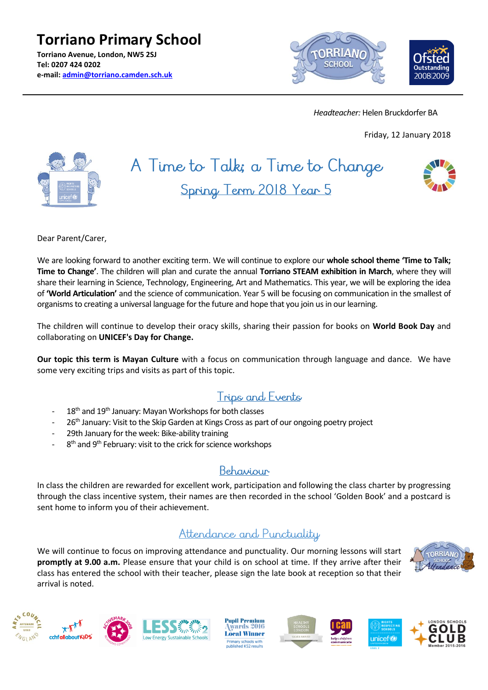**Torriano Primary School Torriano Avenue, London, NW5 2SJ Tel: 0207 424 0202 e-mail: [admin@torriano.camden.sch.uk](mailto:admin@torriano.camden.sch.uk)**



 *Headteacher:* Helen Bruckdorfer BA

Friday, 12 January 2018



# A Time to Talk; a Time to Change Spring Term 2018 Year 5



Dear Parent/Carer,

We are looking forward to another exciting term. We will continue to explore our **whole school theme 'Time to Talk; Time to Change'**. The children will plan and curate the annual **Torriano STEAM exhibition in March**, where they will share their learning in Science, Technology, Engineering, Art and Mathematics. This year, we will be exploring the idea of **'World Articulation'** and the science of communication. Year 5 will be focusing on communication in the smallest of organisms to creating a universal language for the future and hope that you join us in our learning.

The children will continue to develop their oracy skills, sharing their passion for books on **World Book Day** and collaborating on **UNICEF's Day for Change.**

**Our topic this term is Mayan Culture** with a focus on communication through language and dance. We have some very exciting trips and visits as part of this topic.

### Trips and Events

- 18<sup>th</sup> and 19<sup>th</sup> January: Mayan Workshops for both classes
- 26<sup>th</sup> January: Visit to the Skip Garden at Kings Cross as part of our ongoing poetry project
- 29th January for the week: Bike-ability training
- 8<sup>th</sup> and 9<sup>th</sup> February: visit to the crick for science workshops

### Behaviour

In class the children are rewarded for excellent work, participation and following the class charter by progressing through the class incentive system, their names are then recorded in the school 'Golden Book' and a postcard is sent home to inform you of their achievement.

### Attendance and Punctuality

We will continue to focus on improving attendance and punctuality. Our morning lessons will start **promptly at 9.00 a.m.** Please ensure that your child is on school at time. If they arrive after their class has entered the school with their teacher, please sign the late book at reception so that their arrival is noted.









**Pupil Premium** wards 2016 **Local Winner** ary schools with<br>shed KS2 results







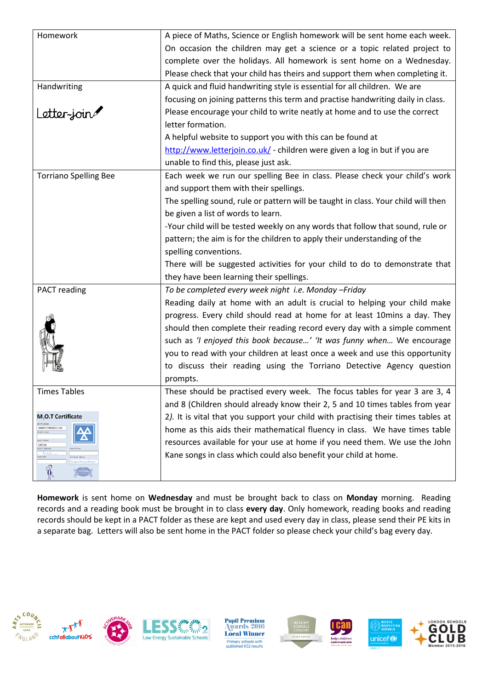| Homework                                                                                           | A piece of Maths, Science or English homework will be sent home each week.        |
|----------------------------------------------------------------------------------------------------|-----------------------------------------------------------------------------------|
|                                                                                                    | On occasion the children may get a science or a topic related project to          |
|                                                                                                    | complete over the holidays. All homework is sent home on a Wednesday.             |
|                                                                                                    | Please check that your child has theirs and support them when completing it.      |
| Handwriting                                                                                        | A quick and fluid handwriting style is essential for all children. We are         |
|                                                                                                    | focusing on joining patterns this term and practise handwriting daily in class.   |
| Letter-join                                                                                        | Please encourage your child to write neatly at home and to use the correct        |
|                                                                                                    | letter formation.                                                                 |
|                                                                                                    | A helpful website to support you with this can be found at                        |
|                                                                                                    | http://www.letterjoin.co.uk/ - children were given a log in but if you are        |
|                                                                                                    | unable to find this, please just ask.                                             |
| <b>Torriano Spelling Bee</b>                                                                       | Each week we run our spelling Bee in class. Please check your child's work        |
|                                                                                                    | and support them with their spellings.                                            |
|                                                                                                    | The spelling sound, rule or pattern will be taught in class. Your child will then |
|                                                                                                    | be given a list of words to learn.                                                |
|                                                                                                    | -Your child will be tested weekly on any words that follow that sound, rule or    |
|                                                                                                    | pattern; the aim is for the children to apply their understanding of the          |
|                                                                                                    | spelling conventions.                                                             |
|                                                                                                    | There will be suggested activities for your child to do to demonstrate that       |
|                                                                                                    | they have been learning their spellings.                                          |
| PACT reading                                                                                       | To be completed every week night i.e. Monday -Friday                              |
|                                                                                                    | Reading daily at home with an adult is crucial to helping your child make         |
|                                                                                                    | progress. Every child should read at home for at least 10mins a day. They         |
|                                                                                                    | should then complete their reading record every day with a simple comment         |
|                                                                                                    | such as 'I enjoyed this book because' 'It was funny when We encourage             |
|                                                                                                    | you to read with your children at least once a week and use this opportunity      |
|                                                                                                    | to discuss their reading using the Torriano Detective Agency question             |
|                                                                                                    | prompts.                                                                          |
| <b>Times Tables</b>                                                                                | These should be practised every week. The focus tables for year 3 are 3, 4        |
|                                                                                                    | and 8 (Children should already know their 2, 5 and 10 times tables from year      |
| M <sub>1</sub> O.T Certificate                                                                     | 2). It is vital that you support your child with practising their times tables at |
| 569973799092017x0<br>sie's Nam<br>Add'em<br>ner's signa<br>rach.<br>iry date<br>ertificate Station | home as this aids their mathematical fluency in class. We have times table        |
|                                                                                                    | resources available for your use at home if you need them. We use the John        |
|                                                                                                    | Kane songs in class which could also benefit your child at home.                  |
| orriano Primary Schoo<br>$\widehat{\widehat{\mathfrak{g}}}$                                        |                                                                                   |
|                                                                                                    |                                                                                   |

**Homework** is sent home on **Wednesday** and must be brought back to class on **Monday** morning. Reading records and a reading book must be brought in to class **every day**. Only homework, reading books and reading records should be kept in a PACT folder as these are kept and used every day in class, please send their PE kits in a separate bag. Letters will also be sent home in the PACT folder so please check your child's bag every day.



Pupil Premium<br>Awards 2016 **Local Winner Primary schools with<br>published KS2 results**